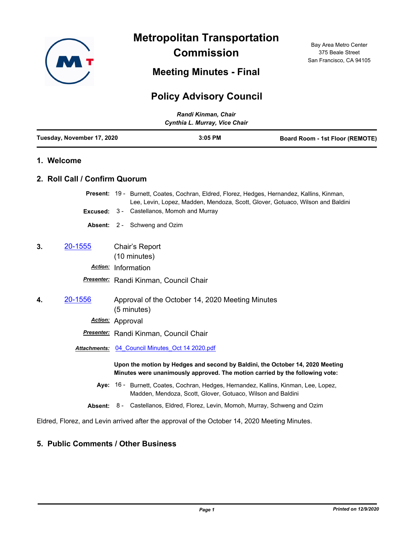

**Metropolitan Transportation Commission**

**Meeting Minutes - Final**

## **Policy Advisory Council**

| Randi Kinman, Chair<br>Cynthia L. Murray, Vice Chair |                               |                                                                                                                                                                               |  |
|------------------------------------------------------|-------------------------------|-------------------------------------------------------------------------------------------------------------------------------------------------------------------------------|--|
| Tuesday, November 17, 2020                           |                               | $3:05$ PM<br><b>Board Room - 1st Floor (REMOTE)</b>                                                                                                                           |  |
|                                                      | 1. Welcome                    |                                                                                                                                                                               |  |
|                                                      | 2. Roll Call / Confirm Quorum |                                                                                                                                                                               |  |
|                                                      |                               | Present: 19 - Burnett, Coates, Cochran, Eldred, Florez, Hedges, Hernandez, Kallins, Kinman,<br>Lee, Levin, Lopez, Madden, Mendoza, Scott, Glover, Gotuaco, Wilson and Baldini |  |
|                                                      | Excused:                      | Castellanos, Momoh and Murray<br>3 -                                                                                                                                          |  |
|                                                      |                               | Absent: 2 - Schweng and Ozim                                                                                                                                                  |  |
| 3.                                                   | 20-1555                       | Chair's Report<br>(10 minutes)                                                                                                                                                |  |
|                                                      | <b>Action:</b>                | Information                                                                                                                                                                   |  |
|                                                      |                               | Presenter: Randi Kinman, Council Chair                                                                                                                                        |  |
| 4.                                                   | 20-1556                       | Approval of the October 14, 2020 Meeting Minutes<br>(5 minutes)                                                                                                               |  |
|                                                      | Action: Approval              |                                                                                                                                                                               |  |
|                                                      |                               | Presenter: Randi Kinman, Council Chair                                                                                                                                        |  |
|                                                      | <b>Attachments:</b>           | 04 Council Minutes Oct 14 2020.pdf                                                                                                                                            |  |
|                                                      |                               | Upon the motion by Hedges and second by Baldini, the October 14, 2020 Meeting<br>Minutes were unanimously approved. The motion carried by the following vote:                 |  |
|                                                      |                               | Aye: 16 - Burnett, Coates, Cochran, Hedges, Hernandez, Kallins, Kinman, Lee, Lopez,<br>Madden, Mendoza, Scott, Glover, Gotuaco, Wilson and Baldini                            |  |
|                                                      |                               | <b>Absent:</b> 8 - Castellanos, Eldred, Florez, Levin, Momoh, Murray, Schweng and Ozim                                                                                        |  |
|                                                      |                               | Eldred, Florez, and Levin arrived after the approval of the October 14, 2020 Meeting Minutes.                                                                                 |  |

## **5. Public Comments / Other Business**

Bay Area Metro Center 375 Beale Street San Francisco, CA 94105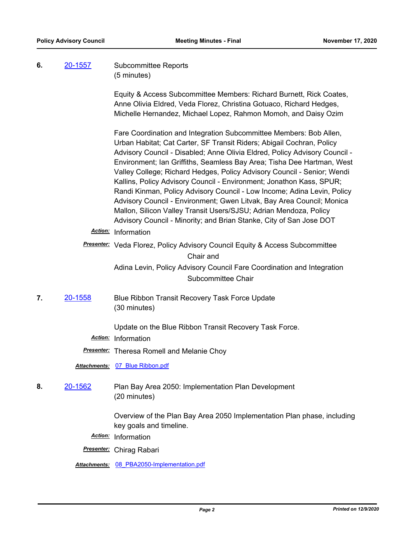## **6.** [20-1557](http://mtc.legistar.com/gateway.aspx?m=l&id=/matter.aspx?key=21422) Subcommittee Reports (5 minutes)

Equity & Access Subcommittee Members: Richard Burnett, Rick Coates, Anne Olivia Eldred, Veda Florez, Christina Gotuaco, Richard Hedges, Michelle Hernandez, Michael Lopez, Rahmon Momoh, and Daisy Ozim

Fare Coordination and Integration Subcommittee Members: Bob Allen, Urban Habitat; Cat Carter, SF Transit Riders; Abigail Cochran, Policy Advisory Council - Disabled; Anne Olivia Eldred, Policy Advisory Council - Environment; Ian Griffiths, Seamless Bay Area; Tisha Dee Hartman, West Valley College; Richard Hedges, Policy Advisory Council - Senior; Wendi Kallins, Policy Advisory Council - Environment; Jonathon Kass, SPUR; Randi Kinman, Policy Advisory Council - Low Income; Adina Levin, Policy Advisory Council - Environment; Gwen Litvak, Bay Area Council; Monica Mallon, Silicon Valley Transit Users/SJSU; Adrian Mendoza, Policy Advisory Council - Minority; and Brian Stanke, City of San Jose DOT

*Action:* Information

*Presenter:* Veda Florez, Policy Advisory Council Equity & Access Subcommittee Chair and Adina Levin, Policy Advisory Council Fare Coordination and Integration

Subcommittee Chair

**7.** [20-1558](http://mtc.legistar.com/gateway.aspx?m=l&id=/matter.aspx?key=21423) Blue Ribbon Transit Recovery Task Force Update (30 minutes)

Update on the Blue Ribbon Transit Recovery Task Force.

*Action:* Information

*Presenter:* Theresa Romell and Melanie Choy

*Attachments:* [07\\_Blue Ribbon.pdf](http://mtc.legistar.com/gateway.aspx?M=F&ID=b44690b2-ac53-43ea-95fb-4aebc5678f1d.pdf)

**8.** [20-1562](http://mtc.legistar.com/gateway.aspx?m=l&id=/matter.aspx?key=21427) Plan Bay Area 2050: Implementation Plan Development (20 minutes)

> Overview of the Plan Bay Area 2050 Implementation Plan phase, including key goals and timeline.

*Action:* Information

*Presenter:* Chirag Rabari

*Attachments:* [08\\_PBA2050-Implementation.pdf](http://mtc.legistar.com/gateway.aspx?M=F&ID=27e49ba1-36c7-4376-8ecb-9cc022cc204e.pdf)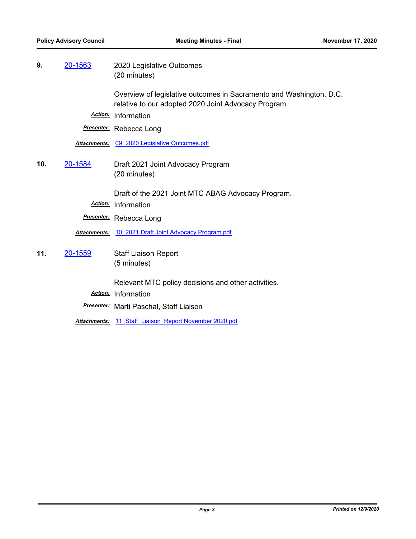**9.** [20-1563](http://mtc.legistar.com/gateway.aspx?m=l&id=/matter.aspx?key=21428) 2020 Legislative Outcomes (20 minutes)

> Overview of legislative outcomes in Sacramento and Washington, D.C. relative to our adopted 2020 Joint Advocacy Program.

*Action:* Information

*Presenter:* Rebecca Long

*Attachments:* [09\\_2020 Legislative Outcomes.pdf](http://mtc.legistar.com/gateway.aspx?M=F&ID=fd72cb97-9803-412c-bbe2-5615ac9face6.pdf)

**10.** [20-1584](http://mtc.legistar.com/gateway.aspx?m=l&id=/matter.aspx?key=21449) Draft 2021 Joint Advocacy Program (20 minutes)

Draft of the 2021 Joint MTC ABAG Advocacy Program.

- *Action:* Information
- *Presenter:* Rebecca Long

*Attachments:* [10\\_2021 Draft Joint Advocacy Program.pdf](http://mtc.legistar.com/gateway.aspx?M=F&ID=0ced7344-17e0-4699-83ca-54dfd9375baf.pdf)

**11.** [20-1559](http://mtc.legistar.com/gateway.aspx?m=l&id=/matter.aspx?key=21424) Staff Liaison Report (5 minutes)

Relevant MTC policy decisions and other activities.

*Action:* Information

*Presenter:* Marti Paschal, Staff Liaison

*Attachments:* [11\\_Staff\\_Liaison\\_Report November 2020.pdf](http://mtc.legistar.com/gateway.aspx?M=F&ID=d182a71c-563d-446e-a287-fd03dd10f969.pdf)